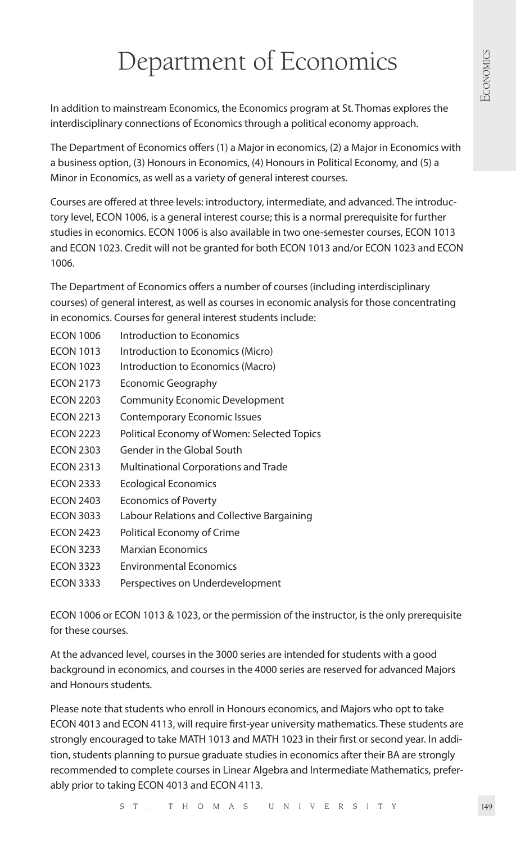# Department of Economics

In addition to mainstream Economics, the Economics program at St. Thomas explores the interdisciplinary connections of Economics through a political economy approach.

The Department of Economics offers (1) a Major in economics, (2) a Major in Economics with a business option, (3) Honours in Economics, (4) Honours in Political Economy, and (5) a Minor in Economics, as well as a variety of general interest courses.

Courses are offered at three levels: introductory, intermediate, and advanced. The introductory level, ECON 1006, is a general interest course; this is a normal prerequisite for further studies in economics. ECON 1006 is also available in two one-semester courses, ECON 1013 and ECON 1023. Credit will not be granted for both ECON 1013 and/or ECON 1023 and ECON 1006.

The Department of Economics offers a number of courses (including interdisciplinary courses) of general interest, as well as courses in economic analysis for those concentrating in economics. Courses for general interest students include:

- ECON 1006 Introduction to Economics
- ECON 1013 Introduction to Economics (Micro)
- ECON 1023 Introduction to Economics (Macro)
- ECON 2173 Economic Geography
- ECON 2203 Community Economic Development
- ECON 2213 Contemporary Economic Issues
- ECON 2223 Political Economy of Women: Selected Topics
- ECON 2303 Gender in the Global South
- ECON 2313 Multinational Corporations and Trade
- ECON 2333 Ecological Economics
- ECON 2403 Economics of Poverty
- ECON 3033 Labour Relations and Collective Bargaining
- ECON 2423 Political Economy of Crime
- ECON 3233 Marxian Economics
- ECON 3323 Environmental Economics
- ECON 3333 Perspectives on Underdevelopment

ECON 1006 or ECON 1013 & 1023, or the permission of the instructor, is the only prerequisite for these courses.

At the advanced level, courses in the 3000 series are intended for students with a good background in economics, and courses in the 4000 series are reserved for advanced Majors and Honours students.

Please note that students who enroll in Honours economics, and Majors who opt to take ECON 4013 and ECON 4113, will require first-year university mathematics. These students are strongly encouraged to take MATH 1013 and MATH 1023 in their first or second year. In addition, students planning to pursue graduate studies in economics after their BA are strongly recommended to complete courses in Linear Algebra and Intermediate Mathematics, preferably prior to taking ECON 4013 and ECON 4113.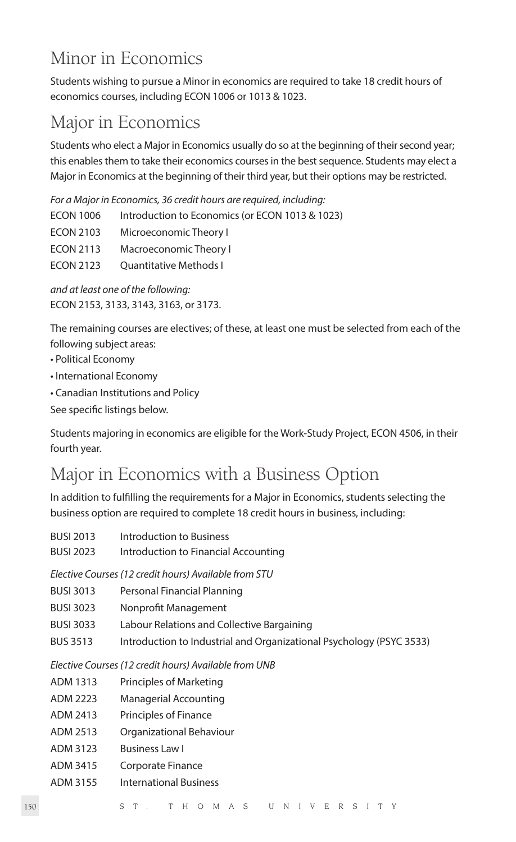# Minor in Economics

Students wishing to pursue a Minor in economics are required to take 18 credit hours of economics courses, including ECON 1006 or 1013 & 1023.

# Major in Economics

Students who elect a Major in Economics usually do so at the beginning of their second year; this enables them to take their economics courses in the best sequence. Students may elect a Major in Economics at the beginning of their third year, but their options may be restricted.

*For a Major in Economics, 36 credit hours are required, including:*

| <b>ECON 1006</b> | Introduction to Economics (or ECON 1013 & 1023) |
|------------------|-------------------------------------------------|
| <b>ECON 2103</b> | Microeconomic Theory I                          |
| <b>ECON 2113</b> | Macroeconomic Theory I                          |
| <b>ECON 2123</b> | <b>Ouantitative Methods I</b>                   |
|                  |                                                 |

*and at least one of the following:*  ECON 2153, 3133, 3143, 3163, or 3173.

The remaining courses are electives; of these, at least one must be selected from each of the following subject areas:

- Political Economy
- International Economy
- Canadian Institutions and Policy
- See specific listings below.

Students majoring in economics are eligible for the Work-Study Project, ECON 4506, in their fourth year.

# Major in Economics with a Business Option

In addition to fulfilling the requirements for a Major in Economics, students selecting the business option are required to complete 18 credit hours in business, including:

| <b>BUSI 2013</b> | Introduction to Business             |
|------------------|--------------------------------------|
| <b>BUSI 2023</b> | Introduction to Financial Accounting |

*Elective Courses (12 credit hours) Available from STU*

- BUSI 3013 Personal Financial Planning
- BUSI 3023 Nonprofit Management
- BUSI 3033 Labour Relations and Collective Bargaining
- BUS 3513 Introduction to Industrial and Organizational Psychology (PSYC 3533)

*Elective Courses (12 credit hours) Available from UNB*

- ADM 1313 Principles of Marketing
- ADM 2223 Managerial Accounting
- ADM 2413 Principles of Finance
- ADM 2513 Organizational Behaviour
- ADM 3123 Business Law I
- ADM 3415 Corporate Finance
- ADM 3155 International Business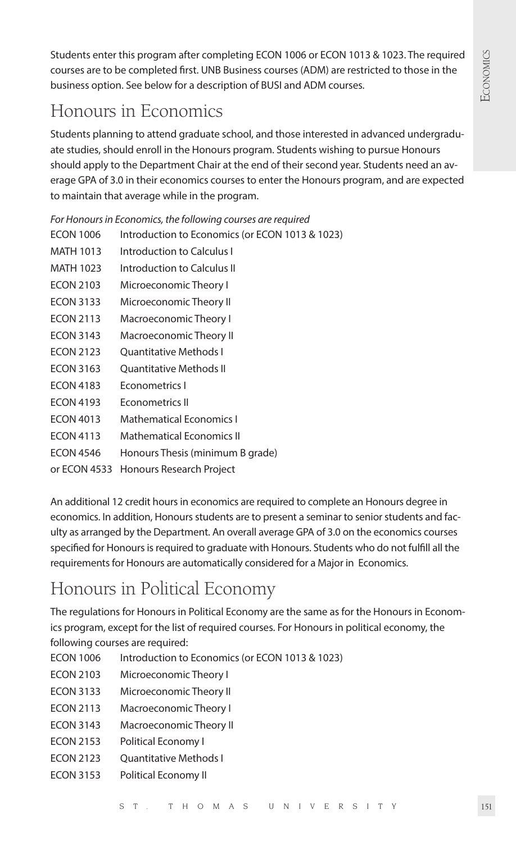Students enter this program after completing ECON 1006 or ECON 1013 & 1023. The required courses are to be completed first. UNB Business courses (ADM) are restricted to those in the business option. See below for a description of BUSI and ADM courses.

# Honours in Economics

Students planning to attend graduate school, and those interested in advanced undergraduate studies, should enroll in the Honours program. Students wishing to pursue Honours should apply to the Department Chair at the end of their second year. Students need an average GPA of 3.0 in their economics courses to enter the Honours program, and are expected to maintain that average while in the program.

*For Honours in Economics, the following courses are required*

- ECON 1006 Introduction to Economics (or ECON 1013 & 1023)
- MATH 1013 Introduction to Calculus I
- MATH 1023 Introduction to Calculus II
- ECON 2103 Microeconomic Theory I
- ECON 3133 Microeconomic Theory II
- ECON 2113 Macroeconomic Theory I
- ECON 3143 Macroeconomic Theory II
- ECON 2123 Ouantitative Methods I
- ECON 3163 Ouantitative Methods II
- ECON 4183 Econometrics I
- ECON 4193 Econometrics II
- ECON 4013 Mathematical Economics I
- ECON 4113 Mathematical Economics II
- ECON 4546 Honours Thesis (minimum B grade)
- or ECON 4533 Honours Research Project

An additional 12 credit hours in economics are required to complete an Honours degree in economics. In addition, Honours students are to present a seminar to senior students and faculty as arranged by the Department. An overall average GPA of 3.0 on the economics courses specified for Honours is required to graduate with Honours. Students who do not fulfill all the requirements for Honours are automatically considered for a Major in Economics.

# Honours in Political Economy

The regulations for Honours in Political Economy are the same as for the Honours in Economics program, except for the list of required courses. For Honours in political economy, the following courses are required:

- ECON 1006 Introduction to Economics (or ECON 1013 & 1023)
- ECON 2103 Microeconomic Theory I
- ECON 3133 Microeconomic Theory II
- ECON 2113 Macroeconomic Theory I
- ECON 3143 Macroeconomic Theory II
- ECON 2153 Political Economy I
- ECON 2123 Ouantitative Methods I
- ECON 3153 Political Economy II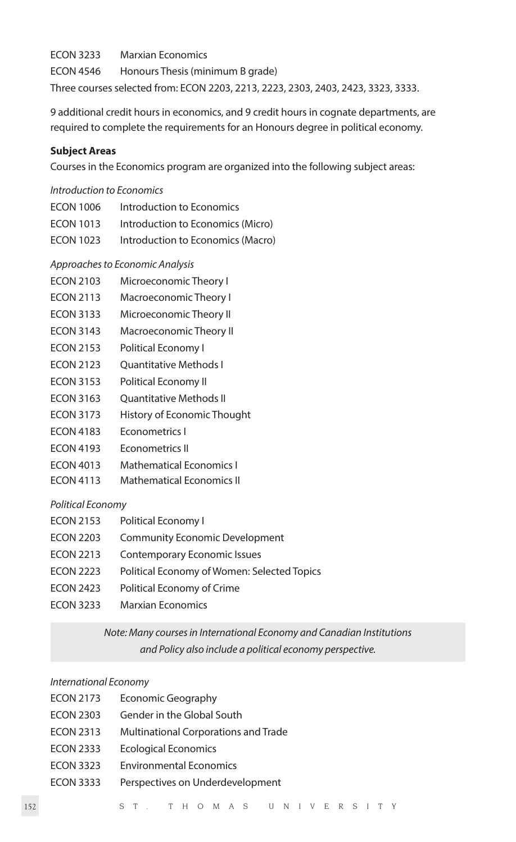ECON 3233 Marxian Economics ECON 4546 Honours Thesis (minimum B grade) Three courses selected from: ECON 2203, 2213, 2223, 2303, 2403, 2423, 3323, 3333.

9 additional credit hours in economics, and 9 credit hours in cognate departments, are required to complete the requirements for an Honours degree in political economy.

#### **Subject Areas**

Courses in the Economics program are organized into the following subject areas:

# *Introduction to Economics*

ECON 1006 Introduction to Economics ECON 1013 Introduction to Economics (Micro) ECON 1023 Introduction to Economics (Macro)

# *Approaches to Economic Analysis*

- ECON 2103 Microeconomic Theory I
- ECON 2113 Macroeconomic Theory I
- ECON 3133 Microeconomic Theory II
- ECON 3143 Macroeconomic Theory II
- ECON 2153 Political Economy I
- ECON 2123 Quantitative Methods I
- ECON 3153 Political Economy II
- ECON 3163 Quantitative Methods II
- ECON 3173 History of Economic Thought
- ECON 4183 Econometrics I
- ECON 4193 Econometrics II
- ECON 4013 Mathematical Economics I
- ECON 4113 Mathematical Economics II

# *Political Economy*

- ECON 2153 Political Economy I
- ECON 2203 Community Economic Development
- ECON 2213 Contemporary Economic Issues
- ECON 2223 Political Economy of Women: Selected Topics
- ECON 2423 Political Economy of Crime
- ECON 3233 Marxian Economics

*Note: Many courses in International Economy and Canadian Institutions and Policy also include a political economy perspective.*

# *International Economy*

| ECON 2173        | <b>Economic Geography</b>            |
|------------------|--------------------------------------|
| <b>ECON 2303</b> | Gender in the Global South           |
| <b>ECON 2313</b> | Multinational Corporations and Trade |
| <b>ECON 2333</b> | <b>Ecological Economics</b>          |
| <b>ECON 3323</b> | <b>Environmental Economics</b>       |
| <b>ECON 3333</b> | Perspectives on Underdevelopment     |
|                  |                                      |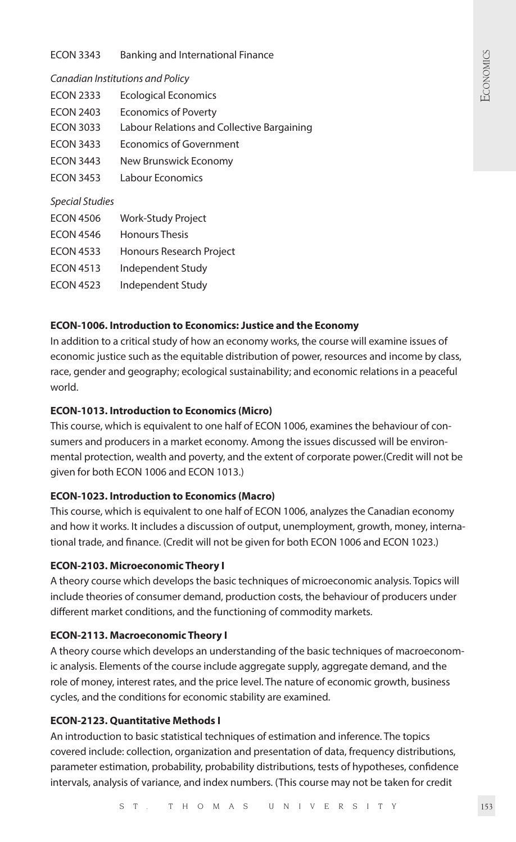ECON 3343 Banking and International Finance

#### *Canadian Institutions and Policy*

| <b>ECON 2333</b>       | <b>Ecological Economics</b>                |
|------------------------|--------------------------------------------|
| <b>FCON 2403</b>       | <b>Economics of Poverty</b>                |
| <b>ECON 3033</b>       | Labour Relations and Collective Bargaining |
| <b>FCON 3433</b>       | Economics of Government                    |
| <b>ECON 3443</b>       | New Brunswick Economy                      |
| <b>ECON 3453</b>       | Labour Economics                           |
| <b>Special Studies</b> |                                            |
| <b>ECON 4506</b>       | Work-Study Project                         |
| FCON 4546              | Honours Thesis                             |
| <b>ECON 4533</b>       | <b>Honours Research Project</b>            |

ECON 4513 Independent Study

ECON 4523 Independent Study

#### **ECON-1006. Introduction to Economics: Justice and the Economy**

In addition to a critical study of how an economy works, the course will examine issues of economic justice such as the equitable distribution of power, resources and income by class, race, gender and geography; ecological sustainability; and economic relations in a peaceful world.

# **ECON-1013. Introduction to Economics (Micro)**

This course, which is equivalent to one half of ECON 1006, examines the behaviour of consumers and producers in a market economy. Among the issues discussed will be environmental protection, wealth and poverty, and the extent of corporate power.(Credit will not be given for both ECON 1006 and ECON 1013.)

# **ECON-1023. Introduction to Economics (Macro)**

This course, which is equivalent to one half of ECON 1006, analyzes the Canadian economy and how it works. It includes a discussion of output, unemployment, growth, money, international trade, and finance. (Credit will not be given for both ECON 1006 and ECON 1023.)

#### **ECON-2103. Microeconomic Theory I**

A theory course which develops the basic techniques of microeconomic analysis. Topics will include theories of consumer demand, production costs, the behaviour of producers under different market conditions, and the functioning of commodity markets.

#### **ECON-2113. Macroeconomic Theory I**

A theory course which develops an understanding of the basic techniques of macroeconomic analysis. Elements of the course include aggregate supply, aggregate demand, and the role of money, interest rates, and the price level. The nature of economic growth, business cycles, and the conditions for economic stability are examined.

#### **ECON-2123. Quantitative Methods I**

An introduction to basic statistical techniques of estimation and inference. The topics covered include: collection, organization and presentation of data, frequency distributions, parameter estimation, probability, probability distributions, tests of hypotheses, confidence intervals, analysis of variance, and index numbers. (This course may not be taken for credit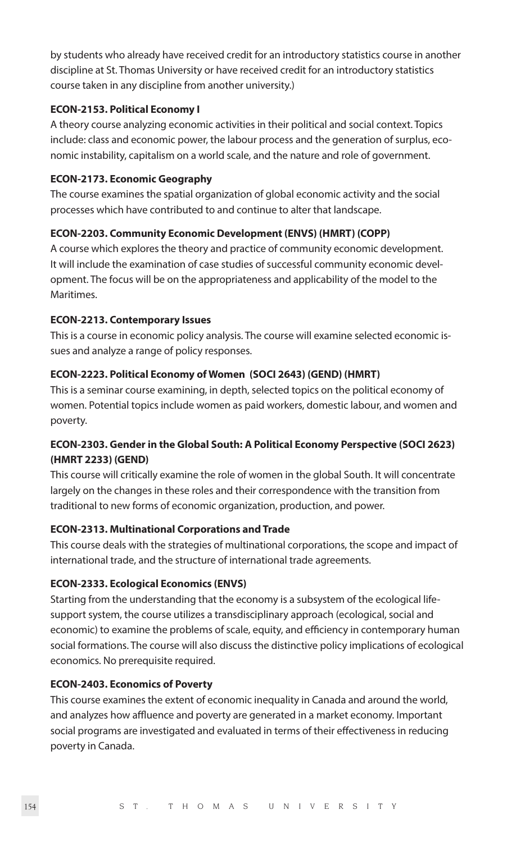by students who already have received credit for an introductory statistics course in another discipline at St. Thomas University or have received credit for an introductory statistics course taken in any discipline from another university.)

#### **ECON-2153. Political Economy I**

A theory course analyzing economic activities in their political and social context. Topics include: class and economic power, the labour process and the generation of surplus, economic instability, capitalism on a world scale, and the nature and role of government.

### **ECON-2173. Economic Geography**

The course examines the spatial organization of global economic activity and the social processes which have contributed to and continue to alter that landscape.

# **ECON-2203. Community Economic Development (ENVS) (HMRT) (COPP)**

A course which explores the theory and practice of community economic development. It will include the examination of case studies of successful community economic development. The focus will be on the appropriateness and applicability of the model to the Maritimes.

# **ECON-2213. Contemporary Issues**

This is a course in economic policy analysis. The course will examine selected economic issues and analyze a range of policy responses.

# **ECON-2223. Political Economy of Women (SOCI 2643) (GEND) (HMRT)**

This is a seminar course examining, in depth, selected topics on the political economy of women. Potential topics include women as paid workers, domestic labour, and women and poverty.

# **ECON-2303. Gender in the Global South: A Political Economy Perspective (SOCI 2623) (HMRT 2233) (GEND)**

This course will critically examine the role of women in the global South. It will concentrate largely on the changes in these roles and their correspondence with the transition from traditional to new forms of economic organization, production, and power.

# **ECON-2313. Multinational Corporations and Trade**

This course deals with the strategies of multinational corporations, the scope and impact of international trade, and the structure of international trade agreements.

# **ECON-2333. Ecological Economics (ENVS)**

Starting from the understanding that the economy is a subsystem of the ecological lifesupport system, the course utilizes a transdisciplinary approach (ecological, social and economic) to examine the problems of scale, equity, and efficiency in contemporary human social formations. The course will also discuss the distinctive policy implications of ecological economics. No prerequisite required.

# **ECON-2403. Economics of Poverty**

This course examines the extent of economic inequality in Canada and around the world, and analyzes how affluence and poverty are generated in a market economy. Important social programs are investigated and evaluated in terms of their effectiveness in reducing poverty in Canada.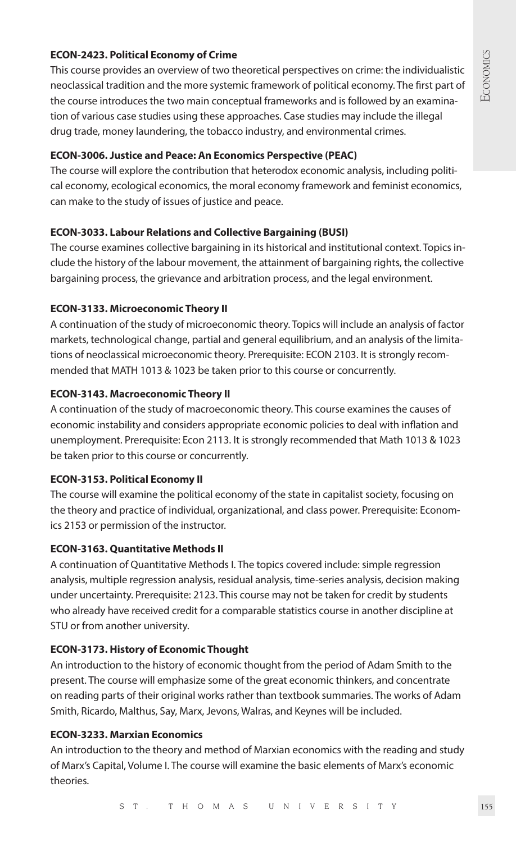# **ECON-2423. Political Economy of Crime**

This course provides an overview of two theoretical perspectives on crime: the individualistic neoclassical tradition and the more systemic framework of political economy. The first part of the course introduces the two main conceptual frameworks and is followed by an examination of various case studies using these approaches. Case studies may include the illegal drug trade, money laundering, the tobacco industry, and environmental crimes.

### **ECON-3006. Justice and Peace: An Economics Perspective (PEAC)**

The course will explore the contribution that heterodox economic analysis, including political economy, ecological economics, the moral economy framework and feminist economics, can make to the study of issues of justice and peace.

# **ECON-3033. Labour Relations and Collective Bargaining (BUSI)**

The course examines collective bargaining in its historical and institutional context. Topics include the history of the labour movement, the attainment of bargaining rights, the collective bargaining process, the grievance and arbitration process, and the legal environment.

# **ECON-3133. Microeconomic Theory II**

A continuation of the study of microeconomic theory. Topics will include an analysis of factor markets, technological change, partial and general equilibrium, and an analysis of the limitations of neoclassical microeconomic theory. Prerequisite: ECON 2103. It is strongly recommended that MATH 1013 & 1023 be taken prior to this course or concurrently.

# **ECON-3143. Macroeconomic Theory II**

A continuation of the study of macroeconomic theory. This course examines the causes of economic instability and considers appropriate economic policies to deal with inflation and unemployment. Prerequisite: Econ 2113. It is strongly recommended that Math 1013 & 1023 be taken prior to this course or concurrently.

# **ECON-3153. Political Economy II**

The course will examine the political economy of the state in capitalist society, focusing on the theory and practice of individual, organizational, and class power. Prerequisite: Economics 2153 or permission of the instructor.

# **ECON-3163. Quantitative Methods II**

A continuation of Quantitative Methods I. The topics covered include: simple regression analysis, multiple regression analysis, residual analysis, time-series analysis, decision making under uncertainty. Prerequisite: 2123. This course may not be taken for credit by students who already have received credit for a comparable statistics course in another discipline at STU or from another university.

# **ECON-3173. History of Economic Thought**

An introduction to the history of economic thought from the period of Adam Smith to the present. The course will emphasize some of the great economic thinkers, and concentrate on reading parts of their original works rather than textbook summaries. The works of Adam Smith, Ricardo, Malthus, Say, Marx, Jevons, Walras, and Keynes will be included.

# **ECON-3233. Marxian Economics**

An introduction to the theory and method of Marxian economics with the reading and study of Marx's Capital, Volume I. The course will examine the basic elements of Marx's economic theories.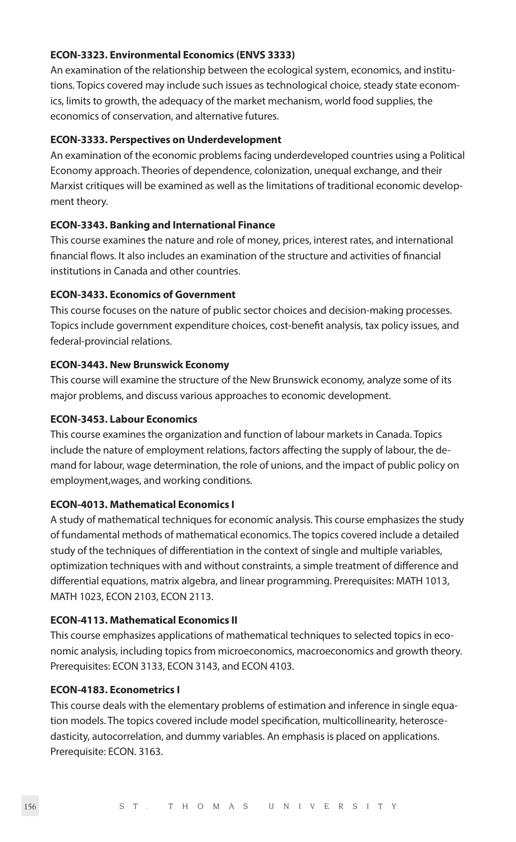#### **ECON-3323. Environmental Economics (ENVS 3333)**

An examination of the relationship between the ecological system, economics, and institutions. Topics covered may include such issues as technological choice, steady state economics, limits to growth, the adequacy of the market mechanism, world food supplies, the economics of conservation, and alternative futures.

#### **ECON-3333. Perspectives on Underdevelopment**

An examination of the economic problems facing underdeveloped countries using a Political Economy approach. Theories of dependence, colonization, unequal exchange, and their Marxist critiques will be examined as well as the limitations of traditional economic development theory.

#### **ECON-3343. Banking and International Finance**

This course examines the nature and role of money, prices, interest rates, and international financial flows. It also includes an examination of the structure and activities of financial institutions in Canada and other countries.

# **ECON-3433. Economics of Government**

This course focuses on the nature of public sector choices and decision-making processes. Topics include government expenditure choices, cost-benefit analysis, tax policy issues, and federal-provincial relations.

#### **ECON-3443. New Brunswick Economy**

This course will examine the structure of the New Brunswick economy, analyze some of its major problems, and discuss various approaches to economic development.

#### **ECON-3453. Labour Economics**

This course examines the organization and function of labour markets in Canada. Topics include the nature of employment relations, factors affecting the supply of labour, the demand for labour, wage determination, the role of unions, and the impact of public policy on employment,wages, and working conditions.

# **ECON-4013. Mathematical Economics I**

A study of mathematical techniques for economic analysis. This course emphasizes the study of fundamental methods of mathematical economics. The topics covered include a detailed study of the techniques of differentiation in the context of single and multiple variables, optimization techniques with and without constraints, a simple treatment of difference and differential equations, matrix algebra, and linear programming. Prerequisites: MATH 1013, MATH 1023, ECON 2103, ECON 2113.

#### **ECON-4113. Mathematical Economics II**

This course emphasizes applications of mathematical techniques to selected topics in economic analysis, including topics from microeconomics, macroeconomics and growth theory. Prerequisites: ECON 3133, ECON 3143, and ECON 4103.

#### **ECON-4183. Econometrics I**

This course deals with the elementary problems of estimation and inference in single equation models. The topics covered include model specification, multicollinearity, heteroscedasticity, autocorrelation, and dummy variables. An emphasis is placed on applications. Prerequisite: ECON. 3163.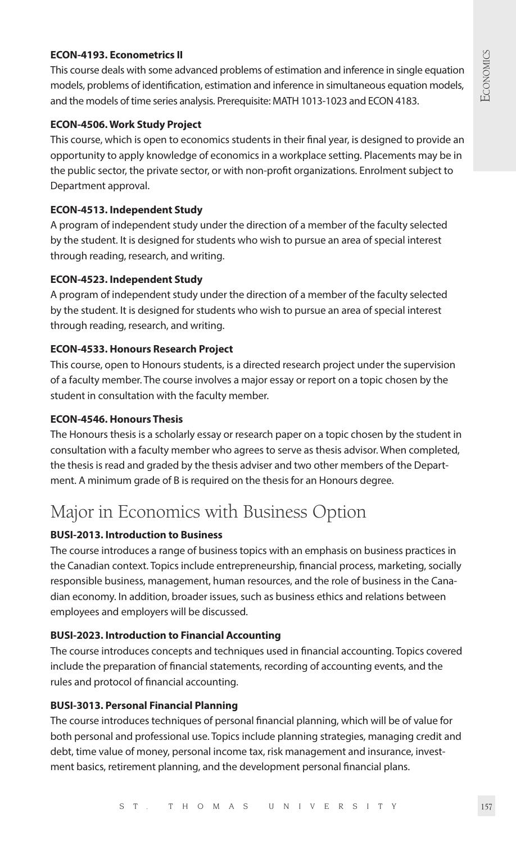# **ECON-4193. Econometrics II**

This course deals with some advanced problems of estimation and inference in single equation models, problems of identification, estimation and inference in simultaneous equation models, and the models of time series analysis. Prerequisite: MATH 1013-1023 and ECON 4183.

# **ECON-4506. Work Study Project**

This course, which is open to economics students in their final year, is designed to provide an opportunity to apply knowledge of economics in a workplace setting. Placements may be in the public sector, the private sector, or with non-profit organizations. Enrolment subject to Department approval.

### **ECON-4513. Independent Study**

A program of independent study under the direction of a member of the faculty selected by the student. It is designed for students who wish to pursue an area of special interest through reading, research, and writing.

# **ECON-4523. Independent Study**

A program of independent study under the direction of a member of the faculty selected by the student. It is designed for students who wish to pursue an area of special interest through reading, research, and writing.

# **ECON-4533. Honours Research Project**

This course, open to Honours students, is a directed research project under the supervision of a faculty member. The course involves a major essay or report on a topic chosen by the student in consultation with the faculty member.

#### **ECON-4546. Honours Thesis**

The Honours thesis is a scholarly essay or research paper on a topic chosen by the student in consultation with a faculty member who agrees to serve as thesis advisor. When completed, the thesis is read and graded by the thesis adviser and two other members of the Department. A minimum grade of B is required on the thesis for an Honours degree.

# Major in Economics with Business Option

# **BUSI-2013. Introduction to Business**

The course introduces a range of business topics with an emphasis on business practices in the Canadian context. Topics include entrepreneurship, financial process, marketing, socially responsible business, management, human resources, and the role of business in the Canadian economy. In addition, broader issues, such as business ethics and relations between employees and employers will be discussed.

#### **BUSI-2023. Introduction to Financial Accounting**

The course introduces concepts and techniques used in financial accounting. Topics covered include the preparation of financial statements, recording of accounting events, and the rules and protocol of financial accounting.

#### **BUSI-3013. Personal Financial Planning**

The course introduces techniques of personal financial planning, which will be of value for both personal and professional use. Topics include planning strategies, managing credit and debt, time value of money, personal income tax, risk management and insurance, investment basics, retirement planning, and the development personal financial plans.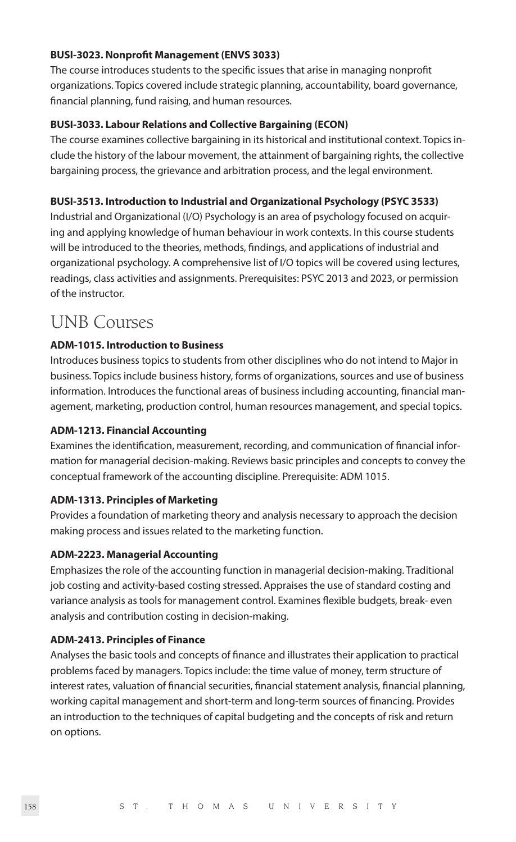#### **BUSI-3023. Nonprofit Management (ENVS 3033)**

The course introduces students to the specific issues that arise in managing nonprofit organizations. Topics covered include strategic planning, accountability, board governance, financial planning, fund raising, and human resources.

# **BUSI-3033. Labour Relations and Collective Bargaining (ECON)**

The course examines collective bargaining in its historical and institutional context. Topics include the history of the labour movement, the attainment of bargaining rights, the collective bargaining process, the grievance and arbitration process, and the legal environment.

#### **BUSI-3513. Introduction to Industrial and Organizational Psychology (PSYC 3533)**

Industrial and Organizational (I/O) Psychology is an area of psychology focused on acquiring and applying knowledge of human behaviour in work contexts. In this course students will be introduced to the theories, methods, findings, and applications of industrial and organizational psychology. A comprehensive list of I/O topics will be covered using lectures, readings, class activities and assignments. Prerequisites: PSYC 2013 and 2023, or permission of the instructor.

# UNB Courses

# **ADM-1015. Introduction to Business**

Introduces business topics to students from other disciplines who do not intend to Major in business. Topics include business history, forms of organizations, sources and use of business information. Introduces the functional areas of business including accounting, financial management, marketing, production control, human resources management, and special topics.

#### **ADM-1213. Financial Accounting**

Examines the identification, measurement, recording, and communication of financial information for managerial decision-making. Reviews basic principles and concepts to convey the conceptual framework of the accounting discipline. Prerequisite: ADM 1015.

# **ADM-1313. Principles of Marketing**

Provides a foundation of marketing theory and analysis necessary to approach the decision making process and issues related to the marketing function.

#### **ADM-2223. Managerial Accounting**

Emphasizes the role of the accounting function in managerial decision-making. Traditional job costing and activity-based costing stressed. Appraises the use of standard costing and variance analysis as tools for management control. Examines flexible budgets, break- even analysis and contribution costing in decision-making.

#### **ADM-2413. Principles of Finance**

Analyses the basic tools and concepts of finance and illustrates their application to practical problems faced by managers. Topics include: the time value of money, term structure of interest rates, valuation of financial securities, financial statement analysis, financial planning, working capital management and short-term and long-term sources of financing. Provides an introduction to the techniques of capital budgeting and the concepts of risk and return on options.